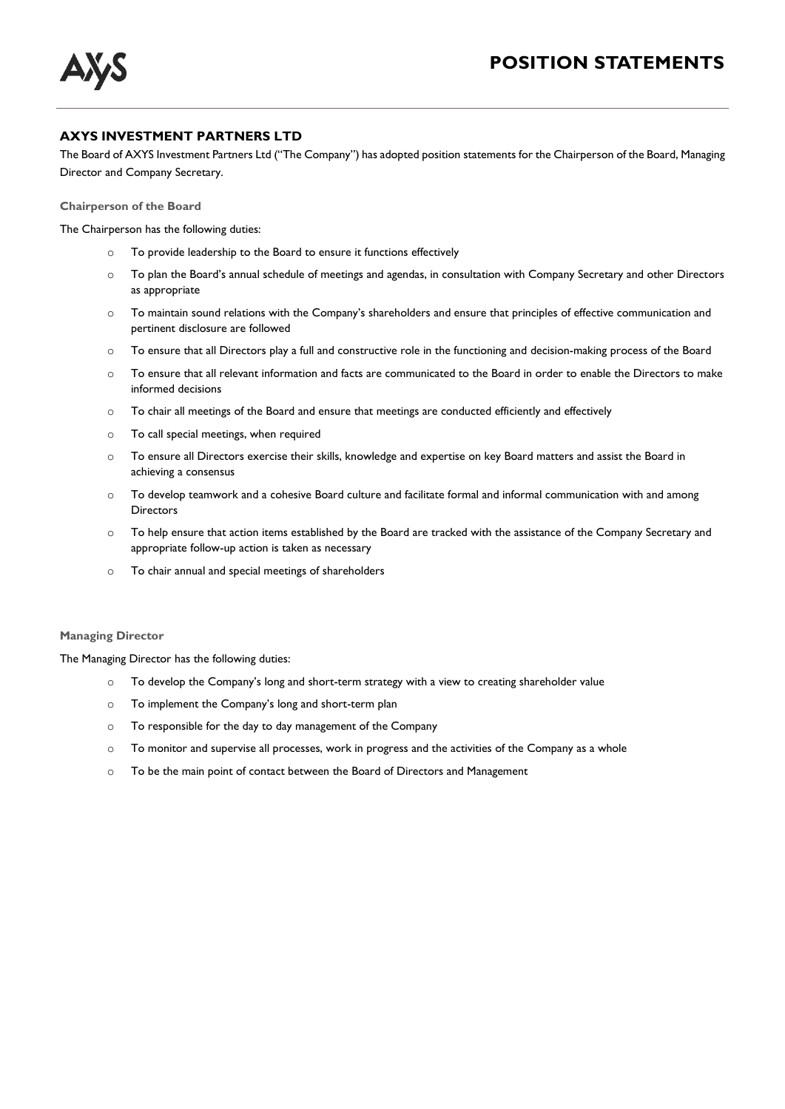

## **AXYS INVESTMENT PARTNERS LTD**

The Board of AXYS Investment Partners Ltd ("The Company") has adopted position statements for the Chairperson of the Board, Managing Director and Company Secretary.

**Chairperson of the Board** 

The Chairperson has the following duties:

- o To provide leadership to the Board to ensure it functions effectively
- o To plan the Board's annual schedule of meetings and agendas, in consultation with Company Secretary and other Directors as appropriate
- o To maintain sound relations with the Company's shareholders and ensure that principles of effective communication and pertinent disclosure are followed
- o To ensure that all Directors play a full and constructive role in the functioning and decision-making process of the Board
- o To ensure that all relevant information and facts are communicated to the Board in order to enable the Directors to make informed decisions
- o To chair all meetings of the Board and ensure that meetings are conducted efficiently and effectively
- o To call special meetings, when required
- o To ensure all Directors exercise their skills, knowledge and expertise on key Board matters and assist the Board in achieving a consensus
- o To develop teamwork and a cohesive Board culture and facilitate formal and informal communication with and among **Directors**
- o To help ensure that action items established by the Board are tracked with the assistance of the Company Secretary and appropriate follow-up action is taken as necessary
- o To chair annual and special meetings of shareholders

## **Managing Director**

The Managing Director has the following duties:

- o To develop the Company's long and short-term strategy with a view to creating shareholder value
- o To implement the Company's long and short-term plan
- o To responsible for the day to day management of the Company
- o To monitor and supervise all processes, work in progress and the activities of the Company as a whole
- o To be the main point of contact between the Board of Directors and Management